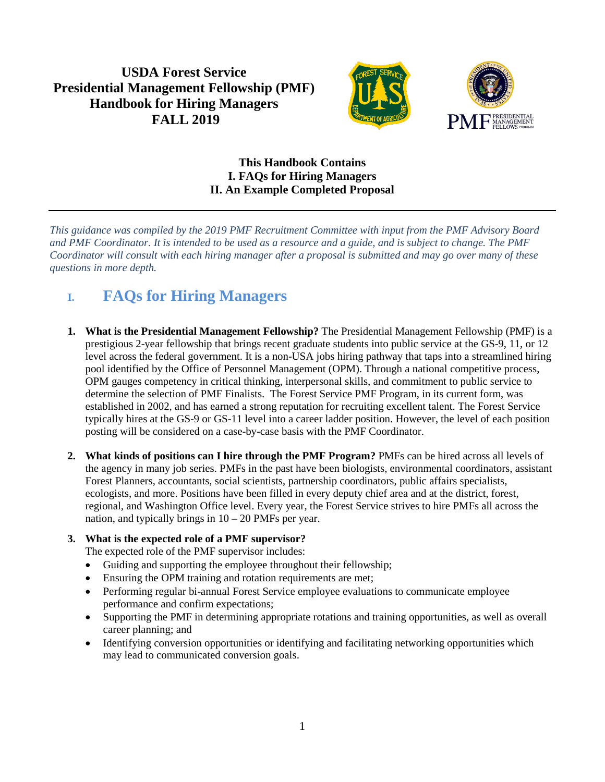## **USDA Forest Service Presidential Management Fellowship (PMF) Handbook for Hiring Managers FALL 2019**



### **This Handbook Contains I. FAQs for Hiring Managers II. An Example Completed Proposal**

*This guidance was compiled by the 2019 PMF Recruitment Committee with input from the PMF Advisory Board and PMF Coordinator. It is intended to be used as a resource and a guide, and is subject to change. The PMF Coordinator will consult with each hiring manager after a proposal is submitted and may go over many of these questions in more depth.* 

# **I. FAQs for Hiring Managers**

- **1. What is the Presidential Management Fellowship?** The Presidential Management Fellowship (PMF) is a prestigious 2-year fellowship that brings recent graduate students into public service at the GS-9, 11, or 12 level across the federal government. It is a non-USA jobs hiring pathway that taps into a streamlined hiring pool identified by the Office of Personnel Management (OPM). Through a national competitive process, OPM gauges competency in critical thinking, interpersonal skills, and commitment to public service to determine the selection of PMF Finalists. The Forest Service PMF Program, in its current form, was established in 2002, and has earned a strong reputation for recruiting excellent talent. The Forest Service typically hires at the GS-9 or GS-11 level into a career ladder position. However, the level of each position posting will be considered on a case-by-case basis with the PMF Coordinator.
- **2. What kinds of positions can I hire through the PMF Program?** PMFs can be hired across all levels of the agency in many job series. PMFs in the past have been biologists, environmental coordinators, assistant Forest Planners, accountants, social scientists, partnership coordinators, public affairs specialists, ecologists, and more. Positions have been filled in every deputy chief area and at the district, forest, regional, and Washington Office level. Every year, the Forest Service strives to hire PMFs all across the nation, and typically brings in  $10 - 20$  PMFs per year.

### **3. What is the expected role of a PMF supervisor?**

The expected role of the PMF supervisor includes:

- Guiding and supporting the employee throughout their fellowship;
- Ensuring the OPM training and rotation requirements are met;
- Performing regular bi-annual Forest Service employee evaluations to communicate employee performance and confirm expectations;
- Supporting the PMF in determining appropriate rotations and training opportunities, as well as overall career planning; and
- Identifying conversion opportunities or identifying and facilitating networking opportunities which may lead to communicated conversion goals.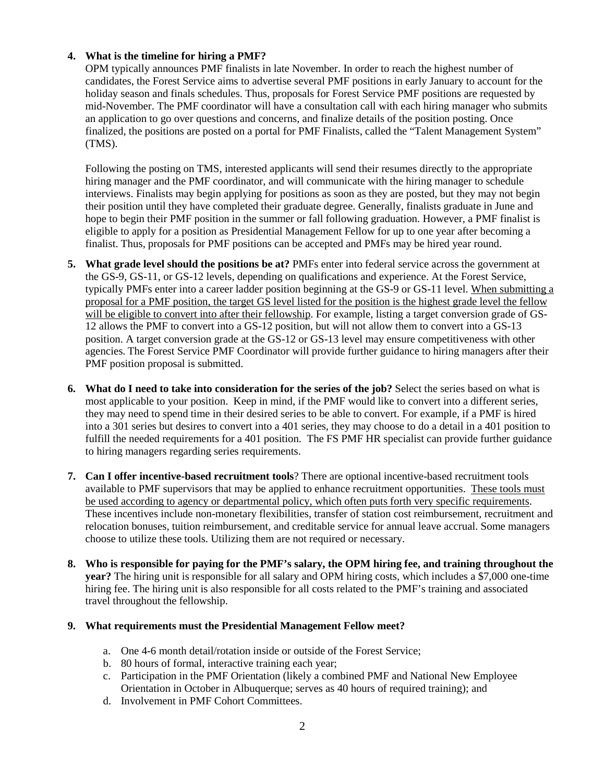#### **4. What is the timeline for hiring a PMF?**

OPM typically announces PMF finalists in late November. In order to reach the highest number of candidates, the Forest Service aims to advertise several PMF positions in early January to account for the holiday season and finals schedules. Thus, proposals for Forest Service PMF positions are requested by mid-November. The PMF coordinator will have a consultation call with each hiring manager who submits an application to go over questions and concerns, and finalize details of the position posting. Once finalized, the positions are posted on a portal for PMF Finalists, called the "Talent Management System" (TMS).

Following the posting on TMS, interested applicants will send their resumes directly to the appropriate hiring manager and the PMF coordinator, and will communicate with the hiring manager to schedule interviews. Finalists may begin applying for positions as soon as they are posted, but they may not begin their position until they have completed their graduate degree. Generally, finalists graduate in June and hope to begin their PMF position in the summer or fall following graduation. However, a PMF finalist is eligible to apply for a position as Presidential Management Fellow for up to one year after becoming a finalist. Thus, proposals for PMF positions can be accepted and PMFs may be hired year round.

- **5. What grade level should the positions be at?** PMFs enter into federal service across the government at the GS-9, GS-11, or GS-12 levels, depending on qualifications and experience. At the Forest Service, typically PMFs enter into a career ladder position beginning at the GS-9 or GS-11 level. When submitting a proposal for a PMF position, the target GS level listed for the position is the highest grade level the fellow will be eligible to convert into after their fellowship. For example, listing a target conversion grade of GS-12 allows the PMF to convert into a GS-12 position, but will not allow them to convert into a GS-13 position. A target conversion grade at the GS-12 or GS-13 level may ensure competitiveness with other agencies. The Forest Service PMF Coordinator will provide further guidance to hiring managers after their PMF position proposal is submitted.
- **6. What do I need to take into consideration for the series of the job?** Select the series based on what is most applicable to your position. Keep in mind, if the PMF would like to convert into a different series, they may need to spend time in their desired series to be able to convert. For example, if a PMF is hired into a 301 series but desires to convert into a 401 series, they may choose to do a detail in a 401 position to fulfill the needed requirements for a 401 position. The FS PMF HR specialist can provide further guidance to hiring managers regarding series requirements.
- **7. Can I offer incentive-based recruitment tools**? There are optional incentive-based recruitment tools available to PMF supervisors that may be applied to enhance recruitment opportunities. These tools must be used according to agency or departmental policy, which often puts forth very specific requirements. These incentives include non-monetary flexibilities, transfer of station cost reimbursement, recruitment and relocation bonuses, tuition reimbursement, and creditable service for annual leave accrual. Some managers choose to utilize these tools. Utilizing them are not required or necessary.
- **8. Who is responsible for paying for the PMF's salary, the OPM hiring fee, and training throughout the year?** The hiring unit is responsible for all salary and OPM hiring costs, which includes a \$7,000 one-time hiring fee. The hiring unit is also responsible for all costs related to the PMF's training and associated travel throughout the fellowship.

#### **9. What requirements must the Presidential Management Fellow meet?**

- a. One 4-6 month detail/rotation inside or outside of the Forest Service;
- b. 80 hours of formal, interactive training each year;
- c. Participation in the PMF Orientation (likely a combined PMF and National New Employee Orientation in October in Albuquerque; serves as 40 hours of required training); and
- d. Involvement in PMF Cohort Committees.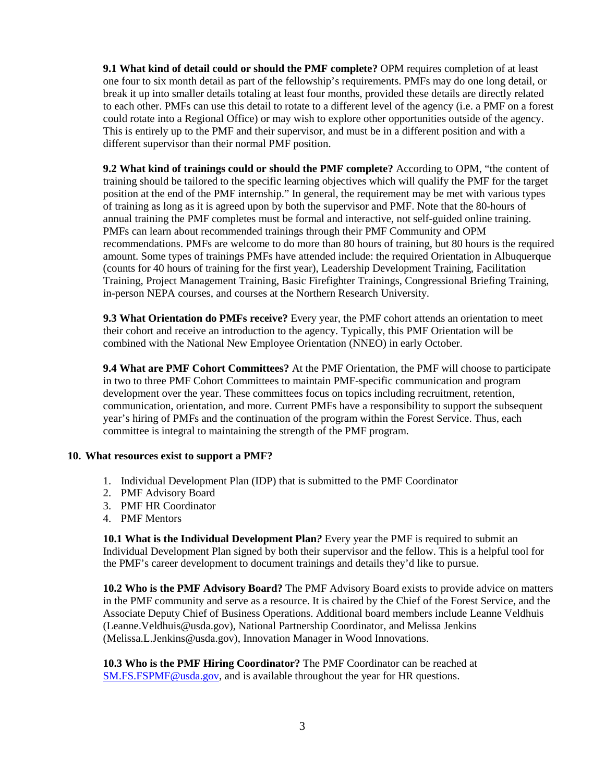**9.1 What kind of detail could or should the PMF complete?** OPM requires completion of at least one four to six month detail as part of the fellowship's requirements. PMFs may do one long detail, or break it up into smaller details totaling at least four months, provided these details are directly related to each other. PMFs can use this detail to rotate to a different level of the agency (i.e. a PMF on a forest could rotate into a Regional Office) or may wish to explore other opportunities outside of the agency. This is entirely up to the PMF and their supervisor, and must be in a different position and with a different supervisor than their normal PMF position.

**9.2 What kind of trainings could or should the PMF complete?** According to OPM, "the content of training should be tailored to the specific learning objectives which will qualify the PMF for the target position at the end of the PMF internship." In general, the requirement may be met with various types of training as long as it is agreed upon by both the supervisor and PMF. Note that the 80-hours of annual training the PMF completes must be formal and interactive, not self-guided online training. PMFs can learn about recommended trainings through their PMF Community and OPM recommendations. PMFs are welcome to do more than 80 hours of training, but 80 hours is the required amount. Some types of trainings PMFs have attended include: the required Orientation in Albuquerque (counts for 40 hours of training for the first year), Leadership Development Training, Facilitation Training, Project Management Training, Basic Firefighter Trainings, Congressional Briefing Training, in-person NEPA courses, and courses at the Northern Research University.

**9.3 What Orientation do PMFs receive?** Every year, the PMF cohort attends an orientation to meet their cohort and receive an introduction to the agency. Typically, this PMF Orientation will be combined with the National New Employee Orientation (NNEO) in early October.

**9.4 What are PMF Cohort Committees?** At the PMF Orientation, the PMF will choose to participate in two to three PMF Cohort Committees to maintain PMF-specific communication and program development over the year. These committees focus on topics including recruitment, retention, communication, orientation, and more. Current PMFs have a responsibility to support the subsequent year's hiring of PMFs and the continuation of the program within the Forest Service. Thus, each committee is integral to maintaining the strength of the PMF program.

#### **10. What resources exist to support a PMF?**

- 1. Individual Development Plan (IDP) that is submitted to the PMF Coordinator
- 2. PMF Advisory Board
- 3. PMF HR Coordinator
- 4. PMF Mentors

**10.1 What is the Individual Development Plan***?* Every year the PMF is required to submit an Individual Development Plan signed by both their supervisor and the fellow. This is a helpful tool for the PMF's career development to document trainings and details they'd like to pursue.

**10.2 Who is the PMF Advisory Board?** The PMF Advisory Board exists to provide advice on matters in the PMF community and serve as a resource. It is chaired by the Chief of the Forest Service, and the Associate Deputy Chief of Business Operations. Additional board members include Leanne Veldhuis (Leanne.Veldhuis@usda.gov), National Partnership Coordinator, and Melissa Jenkins (Melissa.L.Jenkins@usda.gov), Innovation Manager in Wood Innovations.

**10.3 Who is the PMF Hiring Coordinator?** The PMF Coordinator can be reached at [SM.FS.FSPMF@usda.gov,](mailto:SM.FS.FSPMF@usda.gov) and is available throughout the year for HR questions.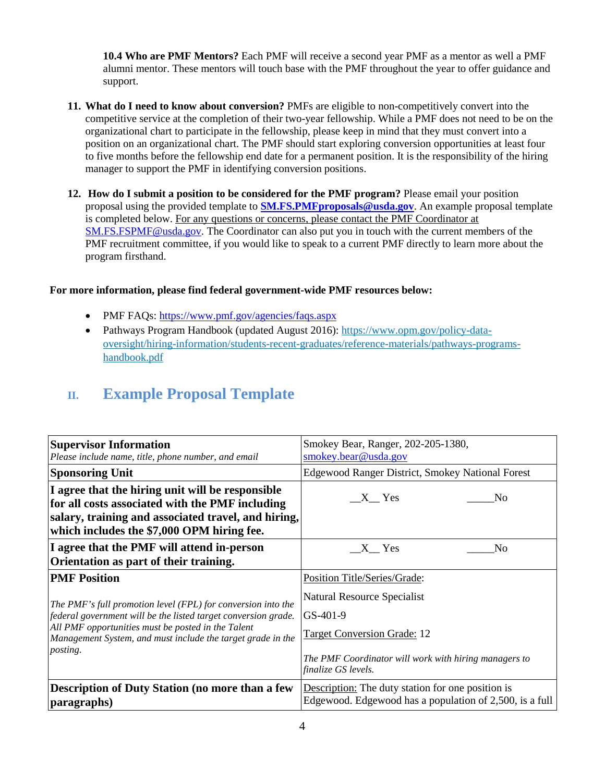**10.4 Who are PMF Mentors?** Each PMF will receive a second year PMF as a mentor as well a PMF alumni mentor. These mentors will touch base with the PMF throughout the year to offer guidance and support.

- **11. What do I need to know about conversion?** PMFs are eligible to non-competitively convert into the competitive service at the completion of their two-year fellowship. While a PMF does not need to be on the organizational chart to participate in the fellowship, please keep in mind that they must convert into a position on an organizational chart. The PMF should start exploring conversion opportunities at least four to five months before the fellowship end date for a permanent position. It is the responsibility of the hiring manager to support the PMF in identifying conversion positions.
- **12. How do I submit a position to be considered for the PMF program?** Please email your position proposal using the provided template to **[SM.FS.PMFproposals@usda.gov](mailto:SM.FS.PMFproposals@usda.gov)**. An example proposal template is completed below. For any questions or concerns, please contact the PMF Coordinator at [SM.FS.FSPMF@usda.gov.](mailto:SM.FS.FSPMF@usda.gov) The Coordinator can also put you in touch with the current members of the PMF recruitment committee, if you would like to speak to a current PMF directly to learn more about the program firsthand.

#### **For more information, please find federal government-wide PMF resources below:**

- PMF FAQs:<https://www.pmf.gov/agencies/faqs.aspx>
- Pathways Program Handbook (updated August 2016): [https://www.opm.gov/policy-data](https://www.opm.gov/policy-data-oversight/hiring-information/students-recent-graduates/reference-materials/pathways-programs-handbook.pdf)[oversight/hiring-information/students-recent-graduates/reference-materials/pathways-programs](https://www.opm.gov/policy-data-oversight/hiring-information/students-recent-graduates/reference-materials/pathways-programs-handbook.pdf)[handbook.pdf](https://www.opm.gov/policy-data-oversight/hiring-information/students-recent-graduates/reference-materials/pathways-programs-handbook.pdf)

## **II. Example Proposal Template**

| <b>Supervisor Information</b>                                                                                                                                                                            | Smokey Bear, Ranger, 202-205-1380,                       |
|----------------------------------------------------------------------------------------------------------------------------------------------------------------------------------------------------------|----------------------------------------------------------|
| Please include name, title, phone number, and email                                                                                                                                                      | smokey.bear@usda.gov                                     |
| <b>Sponsoring Unit</b>                                                                                                                                                                                   | <b>Edgewood Ranger District, Smokey National Forest</b>  |
| I agree that the hiring unit will be responsible<br>for all costs associated with the PMF including<br>salary, training and associated travel, and hiring,<br>which includes the \$7,000 OPM hiring fee. | $X$ Yes<br>N <sub>0</sub>                                |
| I agree that the PMF will attend in-person                                                                                                                                                               | X Yes                                                    |
| Orientation as part of their training.                                                                                                                                                                   | N <sub>0</sub>                                           |
| <b>PMF Position</b>                                                                                                                                                                                      | Position Title/Series/Grade:                             |
| The PMF's full promotion level (FPL) for conversion into the                                                                                                                                             | Natural Resource Specialist                              |
| federal government will be the listed target conversion grade.                                                                                                                                           | $GS-401-9$                                               |
| All PMF opportunities must be posted in the Talent                                                                                                                                                       | <b>Target Conversion Grade: 12</b>                       |
| Management System, and must include the target grade in the                                                                                                                                              | The PMF Coordinator will work with hiring managers to    |
| <i>posting.</i>                                                                                                                                                                                          | finalize GS levels.                                      |
| <b>Description of Duty Station (no more than a few</b>                                                                                                                                                   | <b>Description:</b> The duty station for one position is |
| paragraphs)                                                                                                                                                                                              | Edgewood. Edgewood has a population of 2,500, is a full  |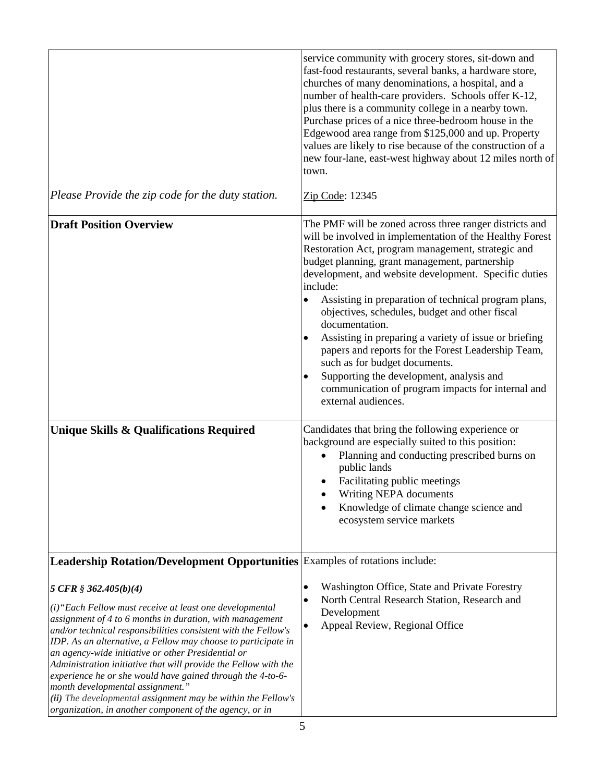| Please Provide the zip code for the duty station.                                                                                                                                                                                                                                                                                                                                                                                                                                                                                                                                                                                       | service community with grocery stores, sit-down and<br>fast-food restaurants, several banks, a hardware store,<br>churches of many denominations, a hospital, and a<br>number of health-care providers. Schools offer K-12,<br>plus there is a community college in a nearby town.<br>Purchase prices of a nice three-bedroom house in the<br>Edgewood area range from \$125,000 and up. Property<br>values are likely to rise because of the construction of a<br>new four-lane, east-west highway about 12 miles north of<br>town.<br>Zip Code: 12345                                                                                                                                                           |
|-----------------------------------------------------------------------------------------------------------------------------------------------------------------------------------------------------------------------------------------------------------------------------------------------------------------------------------------------------------------------------------------------------------------------------------------------------------------------------------------------------------------------------------------------------------------------------------------------------------------------------------------|-------------------------------------------------------------------------------------------------------------------------------------------------------------------------------------------------------------------------------------------------------------------------------------------------------------------------------------------------------------------------------------------------------------------------------------------------------------------------------------------------------------------------------------------------------------------------------------------------------------------------------------------------------------------------------------------------------------------|
| <b>Draft Position Overview</b>                                                                                                                                                                                                                                                                                                                                                                                                                                                                                                                                                                                                          | The PMF will be zoned across three ranger districts and<br>will be involved in implementation of the Healthy Forest<br>Restoration Act, program management, strategic and<br>budget planning, grant management, partnership<br>development, and website development. Specific duties<br>include:<br>Assisting in preparation of technical program plans,<br>$\bullet$<br>objectives, schedules, budget and other fiscal<br>documentation.<br>Assisting in preparing a variety of issue or briefing<br>papers and reports for the Forest Leadership Team,<br>such as for budget documents.<br>Supporting the development, analysis and<br>communication of program impacts for internal and<br>external audiences. |
| <b>Unique Skills &amp; Qualifications Required</b>                                                                                                                                                                                                                                                                                                                                                                                                                                                                                                                                                                                      | Candidates that bring the following experience or<br>background are especially suited to this position:<br>Planning and conducting prescribed burns on<br>public lands<br>Facilitating public meetings<br>Writing NEPA documents<br>Knowledge of climate change science and<br>ecosystem service markets                                                                                                                                                                                                                                                                                                                                                                                                          |
| Leadership Rotation/Development Opportunities Examples of rotations include:                                                                                                                                                                                                                                                                                                                                                                                                                                                                                                                                                            |                                                                                                                                                                                                                                                                                                                                                                                                                                                                                                                                                                                                                                                                                                                   |
| 5 CFR $$362.405(b)(4)$<br>(i) "Each Fellow must receive at least one developmental<br>assignment of 4 to 6 months in duration, with management<br>and/or technical responsibilities consistent with the Fellow's<br>IDP. As an alternative, a Fellow may choose to participate in<br>an agency-wide initiative or other Presidential or<br>Administration initiative that will provide the Fellow with the<br>experience he or she would have gained through the 4-to-6-<br>month developmental assignment."<br>(ii) The developmental assignment may be within the Fellow's<br>organization, in another component of the agency, or in | Washington Office, State and Private Forestry<br>$\bullet$<br>North Central Research Station, Research and<br>$\bullet$<br>Development<br>Appeal Review, Regional Office<br>$\bullet$                                                                                                                                                                                                                                                                                                                                                                                                                                                                                                                             |